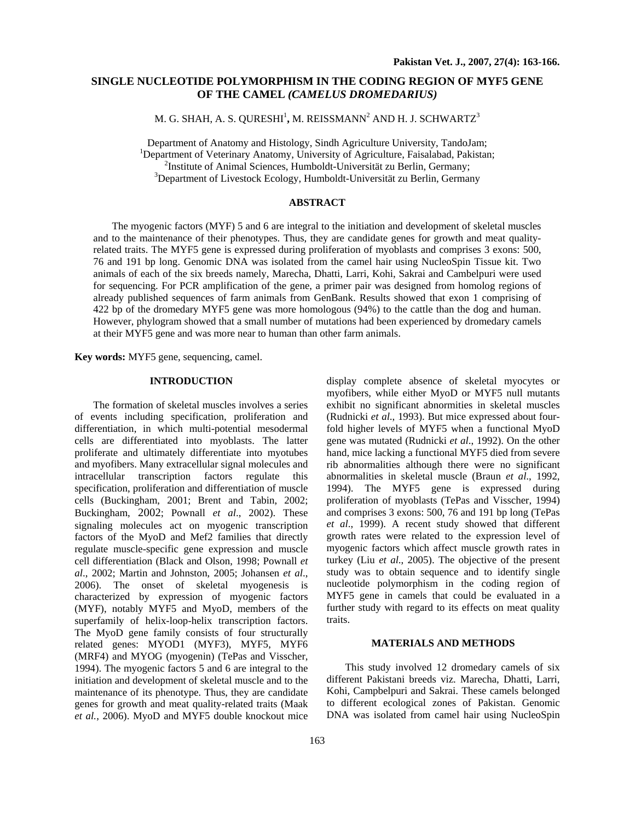# **SINGLE NUCLEOTIDE POLYMORPHISM IN THE CODING REGION OF MYF5 GENE OF THE CAMEL** *(CAMELUS DROMEDARIUS)*

M. G. SHAH, A. S. QURESHI<sup>1</sup>, M. REISSMANN<sup>2</sup> AND H. J. SCHWARTZ<sup>3</sup>

Department of Anatomy and Histology, Sindh Agriculture University, TandoJam; <sup>1</sup> <sup>1</sup>Department of Veterinary Anatomy, University of Agriculture, Faisalabad, Pakistan; <sup>2</sup>Institute of Animal Sciences, Humboldt-Universität zu Berlin, Germany;  $3$ Department of Livestock Ecology, Humboldt-Universität zu Berlin, Germany

### **ABSTRACT**

The myogenic factors (MYF) 5 and 6 are integral to the initiation and development of skeletal muscles and to the maintenance of their phenotypes. Thus, they are candidate genes for growth and meat qualityrelated traits. The MYF5 gene is expressed during proliferation of myoblasts and comprises 3 exons: 500, 76 and 191 bp long. Genomic DNA was isolated from the camel hair using NucleoSpin Tissue kit. Two animals of each of the six breeds namely, Marecha, Dhatti, Larri, Kohi, Sakrai and Cambelpuri were used for sequencing. For PCR amplification of the gene, a primer pair was designed from homolog regions of already published sequences of farm animals from GenBank. Results showed that exon 1 comprising of 422 bp of the dromedary MYF5 gene was more homologous (94%) to the cattle than the dog and human. However, phylogram showed that a small number of mutations had been experienced by dromedary camels at their MYF5 gene and was more near to human than other farm animals.

**Key words:** MYF5 gene, sequencing, camel.

### **INTRODUCTION**

The formation of skeletal muscles involves a series of events including specification, proliferation and differentiation, in which multi-potential mesodermal cells are differentiated into myoblasts. The latter proliferate and ultimately differentiate into myotubes and myofibers. Many extracellular signal molecules and intracellular transcription factors regulate this specification, proliferation and differentiation of muscle cells (Buckingham, 2001; Brent and Tabin, 2002; Buckingham, 2002; Pownall *et al*., 2002). These signaling molecules act on myogenic transcription factors of the MyoD and Mef2 families that directly regulate muscle-specific gene expression and muscle cell differentiation (Black and Olson, 1998; Pownall *et al*., 2002; Martin and Johnston, 2005; Johansen *et al*., 2006). The onset of skeletal myogenesis is characterized by expression of myogenic factors (MYF), notably MYF5 and MyoD, members of the superfamily of helix-loop-helix transcription factors. The MyoD gene family consists of four structurally related genes: MYOD1 (MYF3), MYF5, MYF6 (MRF4) and MYOG (myogenin) (TePas and Visscher, 1994). The myogenic factors 5 and 6 are integral to the initiation and development of skeletal muscle and to the maintenance of its phenotype. Thus, they are candidate genes for growth and meat quality-related traits (Maak *et al.*, 2006). MyoD and MYF5 double knockout mice

display complete absence of skeletal myocytes or myofibers, while either MyoD or MYF5 null mutants exhibit no significant abnormities in skeletal muscles (Rudnicki *et al*., 1993). But mice expressed about fourfold higher levels of MYF5 when a functional MyoD gene was mutated (Rudnicki *et al*., 1992). On the other hand, mice lacking a functional MYF5 died from severe rib abnormalities although there were no significant abnormalities in skeletal muscle (Braun *et al*., 1992, 1994). The MYF5 gene is expressed during proliferation of myoblasts (TePas and Visscher, 1994) and comprises 3 exons: 500, 76 and 191 bp long (TePas *et al*., 1999). A recent study showed that different growth rates were related to the expression level of myogenic factors which affect muscle growth rates in turkey (Liu *et al*., 2005). The objective of the present study was to obtain sequence and to identify single nucleotide polymorphism in the coding region of MYF5 gene in camels that could be evaluated in a further study with regard to its effects on meat quality traits.

## **MATERIALS AND METHODS**

This study involved 12 dromedary camels of six different Pakistani breeds viz. Marecha, Dhatti, Larri, Kohi, Campbelpuri and Sakrai. These camels belonged to different ecological zones of Pakistan. Genomic DNA was isolated from camel hair using NucleoSpin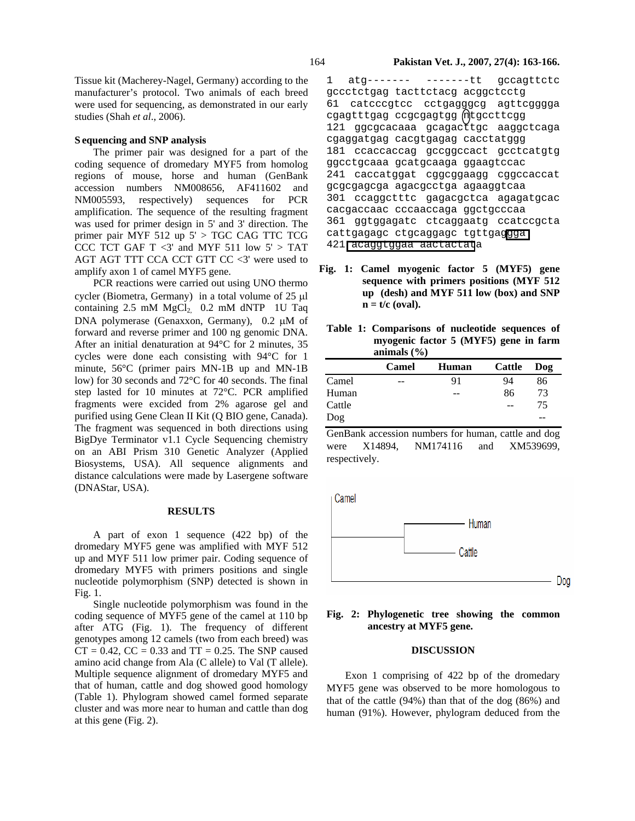#### **S equencing and SNP analysis**

The primer pair was designed for a part of the coding sequence of dromedary MYF5 from homolog regions of mouse, horse and human (GenBank accession numbers NM008656, AF411602 and NM005593, respectively) sequences for PCR amplification. The sequence of the resulting fragment was used for primer design in 5' and 3' direction. The primer pair MYF 512 up 5' > TGC CAG TTC TCG CCC TCT GAF T  $\langle 3' \rangle$  and MYF 511 low 5' > TAT AGT AGT TTT CCA CCT GTT CC <3' were used to amplify axon 1 of camel MYF5 gene.

PCR reactions were carried out using UNO thermo cycler (Biometra, Germany) in a total volume of 25 µl containing  $2.5$  mM  $MgCl<sub>2</sub>$  0.2 mM dNTP 1U Taq DNA polymerase (Genaxxon, Germany), 0.2 µM of forward and reverse primer and 100 ng genomic DNA. After an initial denaturation at 94°C for 2 minutes, 35 cycles were done each consisting with 94°C for 1 minute, 56°C (primer pairs MN-1B up and MN-1B low) for 30 seconds and 72°C for 40 seconds. The final step lasted for 10 minutes at 72°C. PCR amplified fragments were excided from 2% agarose gel and purified using Gene Clean II Kit (Q BIO gene, Canada). The fragment was sequenced in both directions using BigDye Terminator v1.1 Cycle Sequencing chemistry on an ABI Prism 310 Genetic Analyzer (Applied Biosystems, USA). All sequence alignments and distance calculations were made by Lasergene software (DNAStar, USA).

#### **RESULTS**

A part of exon 1 sequence (422 bp) of the dromedary MYF5 gene was amplified with MYF 512 up and MYF 511 low primer pair. Coding sequence of dromedary MYF5 with primers positions and single nucleotide polymorphism (SNP) detected is shown in Fig. 1.

Single nucleotide polymorphism was found in the coding sequence of MYF5 gene of the camel at 110 bp after ATG (Fig. 1). The frequency of different genotypes among 12 camels (two from each breed) was  $CT = 0.42$ ,  $CC = 0.33$  and  $TT = 0.25$ . The SNP caused amino acid change from Ala (C allele) to Val (T allele). Multiple sequence alignment of dromedary MYF5 and that of human, cattle and dog showed good homology (Table 1). Phylogram showed camel formed separate cluster and was more near to human and cattle than dog at this gene (Fig. 2).

1 atg------- -------tt gccagttctc gccctctgag tacttctacg acggctcctg 61 catcccgtcc cctgagggcg agttcgggga cgagtttgag ccgcgagtgg ntgccttcgg 121 ggcgcacaaa gcagacttgc aaggctcaga cgaggatgag cacgtgagag cacctatggg 181 ccaccaccag gccggccact gcctcatgtg ggcctgcaaa gcatgcaaga ggaagtccac 241 caccatggat cggcggaagg cggccaccat gcgcgagcga agacgcctga agaaggtcaa 301 ccaggctttc gagacgctca agagatgcac cacgaccaac cccaaccaga ggctgcccaa 361 ggtggagatc ctcaggaatg ccatccgcta cattgagagc ctgcaggagc tgttgaggga 421 acaggtggaa aactactata

- **Fig. 1: Camel myogenic factor 5 (MYF5) gene sequence with primers positions (MYF 512 up (desh) and MYF 511 low (box) and SNP**   $n = t/c$  (oval).
- **Table 1: Comparisons of nucleotide sequences of myogenic factor 5 (MYF5) gene in farm animals (%)**

|        | Camel | Human | Cattle | Dog |
|--------|-------|-------|--------|-----|
| Camel  | --    | 91    | 94     | 86  |
| Human  |       | --    | 86     | 73  |
| Cattle |       |       | --     | 75  |
| Dog    |       |       |        |     |

GenBank accession numbers for human, cattle and dog were X14894, NM174116 and XM539699, respectively.

Camel



# **Fig. 2: Phylogenetic tree showing the common ancestry at MYF5 gene.**

#### **DISCUSSION**

Exon 1 comprising of 422 bp of the dromedary MYF5 gene was observed to be more homologous to that of the cattle (94%) than that of the dog (86%) and human (91%). However, phylogram deduced from the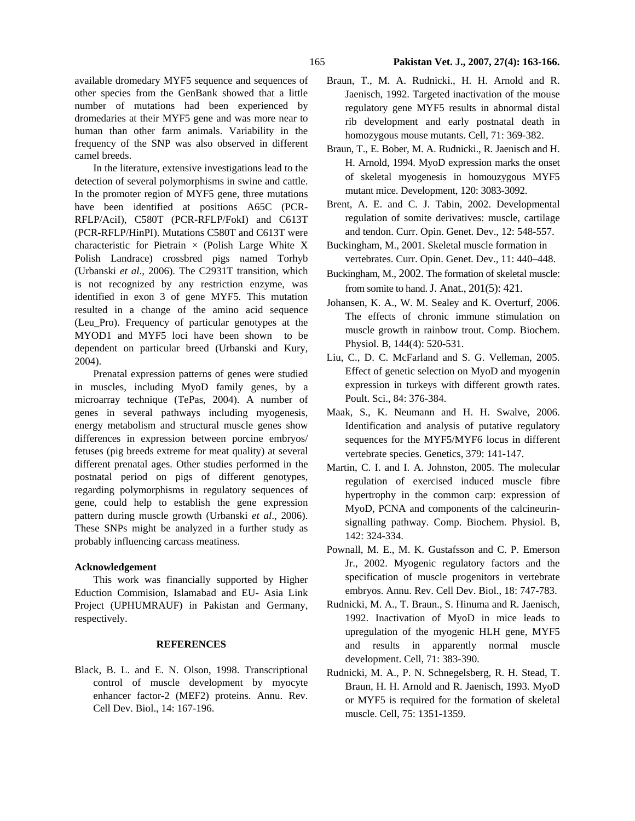available dromedary MYF5 sequence and sequences of other species from the GenBank showed that a little number of mutations had been experienced by dromedaries at their MYF5 gene and was more near to human than other farm animals. Variability in the frequency of the SNP was also observed in different camel breeds.

In the literature, extensive investigations lead to the detection of several polymorphisms in swine and cattle. In the promoter region of MYF5 gene, three mutations have been identified at positions A65C (PCR-RFLP/AciI), C580T (PCR-RFLP/FokI) and C613T (PCR-RFLP/HinPI). Mutations C580T and C613T were characteristic for Pietrain  $\times$  (Polish Large White X Polish Landrace) crossbred pigs named Torhyb (Urbanski *et al*., 2006). The C2931T transition, which is not recognized by any restriction enzyme, was identified in exon 3 of gene MYF5. This mutation resulted in a change of the amino acid sequence (Leu*\_*Pro). Frequency of particular genotypes at the MYOD1 and MYF5 loci have been shown to be dependent on particular breed (Urbanski and Kury, 2004).

Prenatal expression patterns of genes were studied in muscles, including MyoD family genes, by a microarray technique (TePas, 2004). A number of genes in several pathways including myogenesis, energy metabolism and structural muscle genes show differences in expression between porcine embryos/ fetuses (pig breeds extreme for meat quality) at several different prenatal ages. Other studies performed in the postnatal period on pigs of different genotypes, regarding polymorphisms in regulatory sequences of gene, could help to establish the gene expression pattern during muscle growth (Urbanski *et al*., 2006). These SNPs might be analyzed in a further study as probably influencing carcass meatiness.

### **Acknowledgement**

This work was financially supported by Higher Eduction Commision, Islamabad and EU- Asia Link Project (UPHUMRAUF) in Pakistan and Germany, respectively.

#### **REFERENCES**

Black, B. L. and E. N. Olson, 1998. Transcriptional control of muscle development by myocyte enhancer factor-2 (MEF2) proteins. Annu. Rev. Cell Dev. Biol., 14: 167-196.

- Braun, T., M. A. Rudnicki., H. H. Arnold and R. Jaenisch, 1992. Targeted inactivation of the mouse regulatory gene MYF5 results in abnormal distal rib development and early postnatal death in homozygous mouse mutants. Cell, 71: 369-382.
- Braun, T., E. Bober, M. A. Rudnicki., R. Jaenisch and H. H. Arnold, 1994. MyoD expression marks the onset of skeletal myogenesis in homouzygous MYF5 mutant mice. Development, 120: 3083-3092.
- Brent, A. E. and C. J. Tabin, 2002. Developmental regulation of somite derivatives: muscle, cartilage and tendon. Curr. Opin. Genet. Dev., 12: 548-557.
- Buckingham, M., 2001. Skeletal muscle formation in vertebrates. Curr. Opin. Genet. Dev., 11: 440–448.
- Buckingham, M., 2002. The formation of skeletal muscle: from somite to hand. J. Anat., 201(5): 421.
- Johansen, K. A., W. M. Sealey and K. Overturf, 2006. The effects of chronic immune stimulation on muscle growth in rainbow trout. Comp. Biochem. Physiol. B, 144(4): 520-531.
- Liu, C., D. C. McFarland and S. G. Velleman, 2005. Effect of genetic selection on MyoD and myogenin expression in turkeys with different growth rates. Poult. Sci., 84: 376-384.
- Maak, S., K. Neumann and H. H. Swalve, 2006. Identification and analysis of putative regulatory sequences for the MYF5/MYF6 locus in different vertebrate species. Genetics, 379: 141-147.
- Martin, C. I. and I. A. Johnston, 2005. The molecular regulation of exercised induced muscle fibre hypertrophy in the common carp: expression of MyoD, PCNA and components of the calcineurinsignalling pathway. Comp. Biochem. Physiol. B, 142: 324-334.
- Pownall, M. E., M. K. Gustafsson and C. P. Emerson Jr., 2002. Myogenic regulatory factors and the specification of muscle progenitors in vertebrate embryos. Annu. Rev. Cell Dev. Biol., 18: 747-783.
- Rudnicki, M. A., T. Braun., S. Hinuma and R. Jaenisch, 1992. Inactivation of MyoD in mice leads to upregulation of the myogenic HLH gene, MYF5 and results in apparently normal muscle development. Cell, 71: 383-390.
- Rudnicki, M. A., P. N. Schnegelsberg, R. H. Stead, T. Braun, H. H. Arnold and R. Jaenisch, 1993. MyoD or MYF5 is required for the formation of skeletal muscle. Cell, 75: 1351-1359.